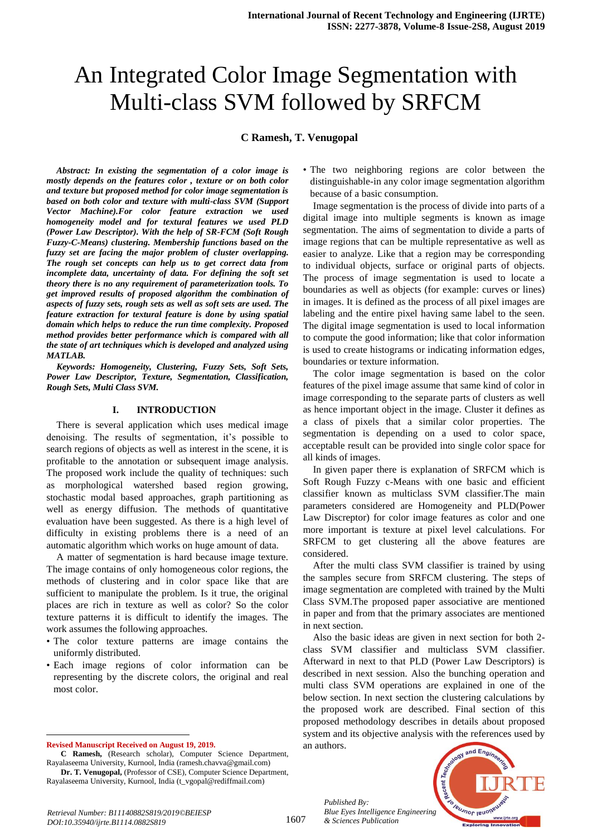# An Integrated Color Image Segmentation with Multi-class SVM followed by SRFCM

## **C Ramesh, T. Venugopal**

*Abstract: In existing the segmentation of a color image is mostly depends on the features color , texture or on both color and texture but proposed method for color image segmentation is based on both color and texture with multi-class SVM (Support Vector Machine).For color feature extraction we used homogeneity model and for textural features we used PLD (Power Law Descriptor). With the help of SR-FCM (Soft Rough Fuzzy-C-Means) clustering. Membership functions based on the fuzzy set are facing the major problem of cluster overlapping. The rough set concepts can help us to get correct data from*  incomplete data, uncertainty of data. For defining the soft set *theory there is no any requirement of parameterization tools. To get improved results of proposed algorithm the combination of aspects of fuzzy sets, rough sets as well as soft sets are used. The feature extraction for textural feature is done by using spatial domain which helps to reduce the run time complexity. Proposed method provides better performance which is compared with all the state of art techniques which is developed and analyzed using MATLAB.*

*Keywords: Homogeneity, Clustering, Fuzzy Sets, Soft Sets, Power Law Descriptor, Texture, Segmentation, Classification, Rough Sets, Multi Class SVM.*

#### **I. INTRODUCTION**

There is several application which uses medical image denoising. The results of segmentation, it's possible to search regions of objects as well as interest in the scene, it is profitable to the annotation or subsequent image analysis. The proposed work include the quality of techniques: such as morphological watershed based region growing, stochastic modal based approaches, graph partitioning as well as energy diffusion. The methods of quantitative evaluation have been suggested. As there is a high level of difficulty in existing problems there is a need of an automatic algorithm which works on huge amount of data.

A matter of segmentation is hard because image texture. The image contains of only homogeneous color regions, the methods of clustering and in color space like that are sufficient to manipulate the problem. Is it true, the original places are rich in texture as well as color? So the color texture patterns it is difficult to identify the images. The work assumes the following approaches.

- The color texture patterns are image contains the uniformly distributed.
- Each image regions of color information can be representing by the discrete colors, the original and real most color.

**Revised Manuscript Received on August 19, 2019.**

 $\overline{a}$ 

Rayalaseema University, Kurnool, India (t\_vgopal@rediffmail.com)

• The two neighboring regions are color between the distinguishable-in any color image segmentation algorithm because of a basic consumption.

Image segmentation is the process of divide into parts of a digital image into multiple segments is known as image segmentation. The aims of segmentation to divide a parts of image regions that can be multiple representative as well as easier to analyze. Like that a region may be corresponding to individual objects, surface or original parts of objects. The process of image segmentation is used to locate a boundaries as well as objects (for example: curves or lines) in images. It is defined as the process of all pixel images are labeling and the entire pixel having same label to the seen. The digital image segmentation is used to local information to compute the good information; like that color information is used to create histograms or indicating information edges, boundaries or texture information.

The color image segmentation is based on the color features of the pixel image assume that same kind of color in image corresponding to the separate parts of clusters as well as hence important object in the image. Cluster it defines as a class of pixels that a similar color properties. The segmentation is depending on a used to color space, acceptable result can be provided into single color space for all kinds of images.

In given paper there is explanation of SRFCM which is Soft Rough Fuzzy c-Means with one basic and efficient classifier known as multiclass SVM classifier.The main parameters considered are Homogeneity and PLD(Power Law Discreptor) for color image features as color and one more important is texture at pixel level calculations. For SRFCM to get clustering all the above features are considered.

After the multi class SVM classifier is trained by using the samples secure from SRFCM clustering. The steps of image segmentation are completed with trained by the Multi Class SVM.The proposed paper associative are mentioned in paper and from that the primary associates are mentioned in next section.

Also the basic ideas are given in next section for both 2 class SVM classifier and multiclass SVM classifier. Afterward in next to that PLD (Power Law Descriptors) is described in next session. Also the bunching operation and multi class SVM operations are explained in one of the below section. In next section the clustering calculations by the proposed work are described. Final section of this proposed methodology describes in details about proposed system and its objective analysis with the references used by an authors.

*Published By: Blue Eyes Intelligence Engineering & Sciences Publication* 



**C Ramesh,** (Research scholar), Computer Science Department, Rayalaseema University, Kurnool, India (ramesh.chavva@gmail.com) **Dr. T. Venugopal,** (Professor of CSE), Computer Science Department,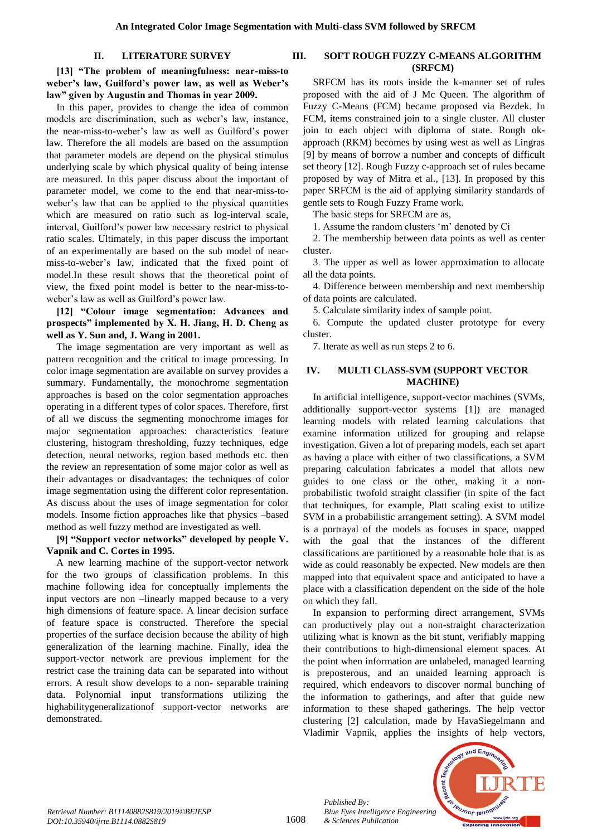## **II. LITERATURE SURVEY**

**[13] "The problem of meaningfulness: near-miss-to weber's law, Guilford's power law, as well as Weber's law" given by Augustin and Thomas in year 2009.**

In this paper, provides to change the idea of common models are discrimination, such as weber"s law, instance, the near-miss-to-weber"s law as well as Guilford"s power law. Therefore the all models are based on the assumption that parameter models are depend on the physical stimulus underlying scale by which physical quality of being intense are measured. In this paper discuss about the important of parameter model, we come to the end that near-miss-toweber's law that can be applied to the physical quantities which are measured on ratio such as log-interval scale, interval, Guilford"s power law necessary restrict to physical ratio scales. Ultimately, in this paper discuss the important of an experimentally are based on the sub model of nearmiss-to-weber"s law, indicated that the fixed point of model.In these result shows that the theoretical point of view, the fixed point model is better to the near-miss-toweber"s law as well as Guilford"s power law.

## **[12] "Colour image segmentation: Advances and prospects" implemented by X. H. Jiang, H. D. Cheng as well as Y. Sun and, J. Wang in 2001.**

The image segmentation are very important as well as pattern recognition and the critical to image processing. In color image segmentation are available on survey provides a summary. Fundamentally, the monochrome segmentation approaches is based on the color segmentation approaches operating in a different types of color spaces. Therefore, first of all we discuss the segmenting monochrome images for major segmentation approaches: characteristics feature clustering, histogram thresholding, fuzzy techniques, edge detection, neural networks, region based methods etc. then the review an representation of some major color as well as their advantages or disadvantages; the techniques of color image segmentation using the different color representation. As discuss about the uses of image segmentation for color models. Insome fiction approaches like that physics –based method as well fuzzy method are investigated as well.

## **[9] "Support vector networks" developed by people V. Vapnik and C. Cortes in 1995.**

A new learning machine of the support-vector network for the two groups of classification problems. In this machine following idea for conceptually implements the input vectors are non –linearly mapped because to a very high dimensions of feature space. A linear decision surface of feature space is constructed. Therefore the special properties of the surface decision because the ability of high generalization of the learning machine. Finally, idea the support-vector network are previous implement for the restrict case the training data can be separated into without errors. A result show develops to a non- separable training data. Polynomial input transformations utilizing the highabilitygeneralizationof support-vector networks are demonstrated.

## **III. SOFT ROUGH FUZZY C-MEANS ALGORITHM (SRFCM)**

SRFCM has its roots inside the k-manner set of rules proposed with the aid of J Mc Queen. The algorithm of Fuzzy C-Means (FCM) became proposed via Bezdek. In FCM, items constrained join to a single cluster. All cluster join to each object with diploma of state. Rough okapproach (RKM) becomes by using west as well as Lingras [9] by means of borrow a number and concepts of difficult set theory [12]. Rough Fuzzy c-approach set of rules became proposed by way of Mitra et al., [13]. In proposed by this paper SRFCM is the aid of applying similarity standards of gentle sets to Rough Fuzzy Frame work.

The basic steps for SRFCM are as,

1. Assume the random clusters "m" denoted by Ci

2. The membership between data points as well as center cluster.

3. The upper as well as lower approximation to allocate all the data points.

4. Difference between membership and next membership of data points are calculated.

5. Calculate similarity index of sample point.

6. Compute the updated cluster prototype for every cluster.

7. Iterate as well as run steps 2 to 6.

## **IV. MULTI CLASS-SVM (SUPPORT VECTOR MACHINE)**

In artificial intelligence, support-vector machines (SVMs, additionally support-vector systems [1]) are managed learning models with related learning calculations that examine information utilized for grouping and relapse investigation. Given a lot of preparing models, each set apart as having a place with either of two classifications, a SVM preparing calculation fabricates a model that allots new guides to one class or the other, making it a nonprobabilistic twofold straight classifier (in spite of the fact that techniques, for example, Platt scaling exist to utilize SVM in a probabilistic arrangement setting). A SVM model is a portrayal of the models as focuses in space, mapped with the goal that the instances of the different classifications are partitioned by a reasonable hole that is as wide as could reasonably be expected. New models are then mapped into that equivalent space and anticipated to have a place with a classification dependent on the side of the hole on which they fall.

In expansion to performing direct arrangement, SVMs can productively play out a non-straight characterization utilizing what is known as the bit stunt, verifiably mapping their contributions to high-dimensional element spaces. At the point when information are unlabeled, managed learning is preposterous, and an unaided learning approach is required, which endeavors to discover normal bunching of the information to gatherings, and after that guide new information to these shaped gatherings. The help vector clustering [2] calculation, made by HavaSiegelmann and Vladimir Vapnik, applies the insights of help vectors,



*Retrieval Number: B11140882S819/2019©BEIESP DOI:10.35940/ijrte.B1114.0882S819* 

1608

*Published By: Blue Eyes Intelligence Engineering & Sciences Publication*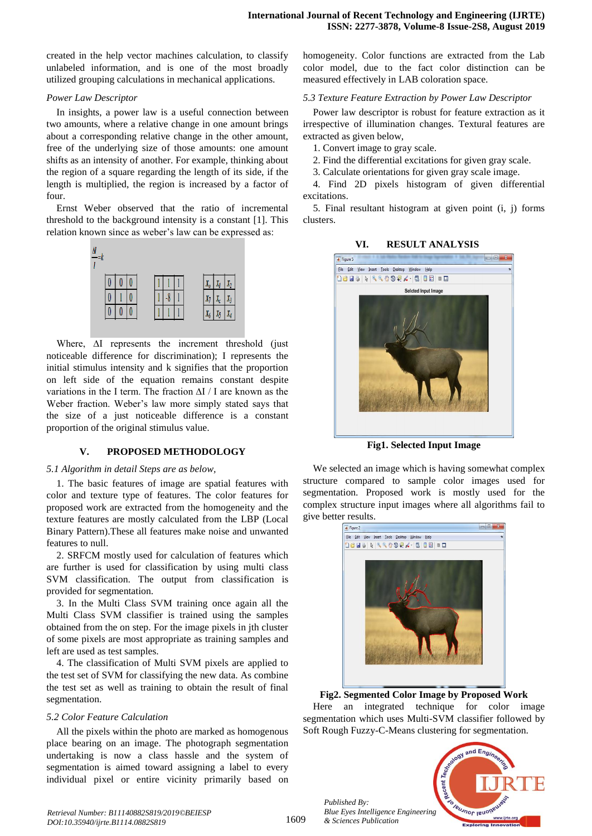created in the help vector machines calculation, to classify unlabeled information, and is one of the most broadly utilized grouping calculations in mechanical applications.

#### *Power Law Descriptor*

In insights, a power law is a useful connection between two amounts, where a relative change in one amount brings about a corresponding relative change in the other amount, free of the underlying size of those amounts: one amount shifts as an intensity of another. For example, thinking about the region of a square regarding the length of its side, if the length is multiplied, the region is increased by a factor of four.

Ernst Weber observed that the ratio of incremental threshold to the background intensity is a constant [1]. This relation known since as weber"s law can be expressed as:



Where, ∆I represents the increment threshold (just noticeable difference for discrimination); I represents the initial stimulus intensity and k signifies that the proportion on left side of the equation remains constant despite variations in the I term. The fraction ∆I / I are known as the Weber fraction. Weber"s law more simply stated says that the size of a just noticeable difference is a constant proportion of the original stimulus value.

## **V. PROPOSED METHODOLOGY**

#### *5.1 Algorithm in detail Steps are as below,*

1. The basic features of image are spatial features with color and texture type of features. The color features for proposed work are extracted from the homogeneity and the texture features are mostly calculated from the LBP (Local Binary Pattern).These all features make noise and unwanted features to null.

2. SRFCM mostly used for calculation of features which are further is used for classification by using multi class SVM classification. The output from classification is provided for segmentation.

3. In the Multi Class SVM training once again all the Multi Class SVM classifier is trained using the samples obtained from the on step. For the image pixels in jth cluster of some pixels are most appropriate as training samples and left are used as test samples.

4. The classification of Multi SVM pixels are applied to the test set of SVM for classifying the new data. As combine the test set as well as training to obtain the result of final segmentation.

#### *5.2 Color Feature Calculation*

All the pixels within the photo are marked as homogenous place bearing on an image. The photograph segmentation undertaking is now a class hassle and the system of segmentation is aimed toward assigning a label to every individual pixel or entire vicinity primarily based on

homogeneity. Color functions are extracted from the Lab color model, due to the fact color distinction can be measured effectively in LAB coloration space.

#### *5.3 Texture Feature Extraction by Power Law Descriptor*

Power law descriptor is robust for feature extraction as it irrespective of illumination changes. Textural features are extracted as given below,

1. Convert image to gray scale.

2. Find the differential excitations for given gray scale.

3. Calculate orientations for given gray scale image.

4. Find 2D pixels histogram of given differential excitations.

5. Final resultant histogram at given point (i, j) forms clusters.



**Fig1. Selected Input Image**

We selected an image which is having somewhat complex structure compared to sample color images used for segmentation. Proposed work is mostly used for the complex structure input images where all algorithms fail to give better results.



**Fig2. Segmented Color Image by Proposed Work** Here an integrated technique for color image segmentation which uses Multi-SVM classifier followed by Soft Rough Fuzzy-C-Means clustering for segmentation.

*Published By: Blue Eyes Intelligence Engineering & Sciences Publication* 



1609